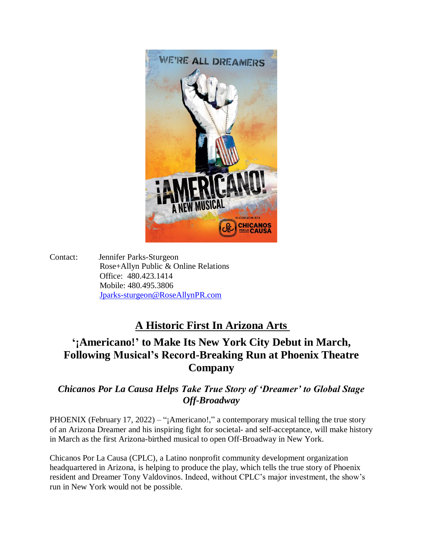

Contact: Jennifer Parks-Sturgeon Rose+Allyn Public & Online Relations Office: 480.423.1414 Mobile: 480.495.3806 [Jparks-sturgeon@RoseAllynPR.com](mailto:Jparks-sturgeon@RoseAllynPR.com)

## **A Historic First In Arizona Arts**

## **'¡Americano!' to Make Its New York City Debut in March, Following Musical's Record-Breaking Run at Phoenix Theatre Company**

## *Chicanos Por La Causa Helps Take True Story of 'Dreamer' to Global Stage Off-Broadway*

PHOENIX (February 17, 2022) – "¡Americano!," a contemporary musical telling the true story of an Arizona Dreamer and his inspiring fight for societal- and self-acceptance, will make history in March as the first Arizona-birthed musical to open Off-Broadway in New York.

Chicanos Por La Causa (CPLC), a Latino nonprofit community development organization headquartered in Arizona, is helping to produce the play, which tells the true story of Phoenix resident and Dreamer Tony Valdovinos. Indeed, without CPLC's major investment, the show's run in New York would not be possible.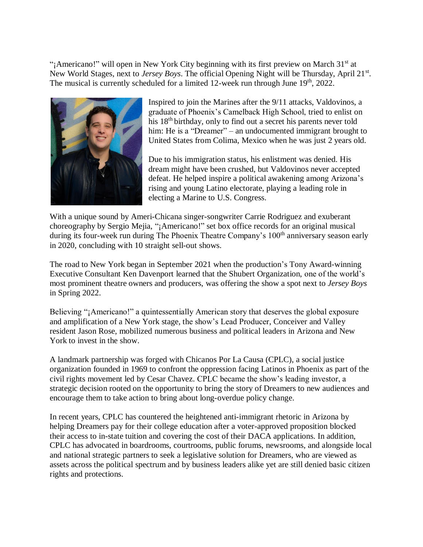"¡Americano!" will open in New York City beginning with its first preview on March 31<sup>st</sup> at New World Stages, next to Jersey Boys. The official Opening Night will be Thursday, April 21<sup>st</sup>. The musical is currently scheduled for a limited 12-week run through June 19<sup>th</sup>, 2022.



Inspired to join the Marines after the 9/11 attacks, Valdovinos, a graduate of Phoenix's Camelback High School, tried to enlist on his 18th birthday, only to find out a secret his parents never told him: He is a "Dreamer" – an undocumented immigrant brought to United States from Colima, Mexico when he was just 2 years old.

Due to his immigration status, his enlistment was denied. His dream might have been crushed, but Valdovinos never accepted defeat. He helped inspire a political awakening among Arizona's rising and young Latino electorate, playing a leading role in electing a Marine to U.S. Congress.

With a unique sound by Ameri-Chicana singer-songwriter Carrie Rodriguez and exuberant choreography by Sergio Mejia, "¡Americano!" set box office records for an original musical during its four-week run during The Phoenix Theatre Company's 100<sup>th</sup> anniversary season early in 2020, concluding with 10 straight sell-out shows.

The road to New York began in September 2021 when the production's Tony Award-winning Executive Consultant Ken Davenport learned that the Shubert Organization, one of the world's most prominent theatre owners and producers, was offering the show a spot next to *Jersey Boys* in Spring 2022.

Believing "¡Americano!" a quintessentially American story that deserves the global exposure and amplification of a New York stage, the show's Lead Producer, Conceiver and Valley resident Jason Rose, mobilized numerous business and political leaders in Arizona and New York to invest in the show.

A landmark partnership was forged with Chicanos Por La Causa (CPLC), a social justice organization founded in 1969 to confront the oppression facing Latinos in Phoenix as part of the civil rights movement led by Cesar Chavez. CPLC became the show's leading investor, a strategic decision rooted on the opportunity to bring the story of Dreamers to new audiences and encourage them to take action to bring about long-overdue policy change.

In recent years, CPLC has countered the heightened anti-immigrant rhetoric in Arizona by helping Dreamers pay for their college education after a voter-approved proposition blocked their access to in-state tuition and covering the cost of their DACA applications. In addition, CPLC has advocated in boardrooms, courtrooms, public forums, newsrooms, and alongside local and national strategic partners to seek a legislative solution for Dreamers, who are viewed as assets across the political spectrum and by business leaders alike yet are still denied basic citizen rights and protections.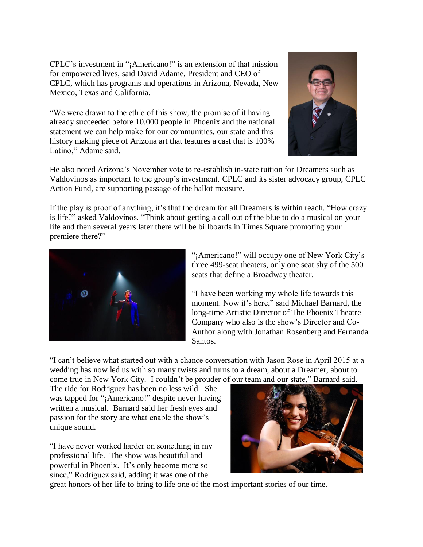CPLC's investment in "¡Americano!" is an extension of that mission for empowered lives, said David Adame, President and CEO of CPLC, which has programs and operations in Arizona, Nevada, New Mexico, Texas and California.

"We were drawn to the ethic of this show, the promise of it having already succeeded before 10,000 people in Phoenix and the national statement we can help make for our communities, our state and this history making piece of Arizona art that features a cast that is 100% Latino," Adame said.



He also noted Arizona's November vote to re-establish in-state tuition for Dreamers such as Valdovinos as important to the group's investment. CPLC and its sister advocacy group, CPLC Action Fund, are supporting passage of the ballot measure.

If the play is proof of anything, it's that the dream for all Dreamers is within reach. "How crazy is life?" asked Valdovinos. "Think about getting a call out of the blue to do a musical on your life and then several years later there will be billboards in Times Square promoting your premiere there?"



"¡Americano!" will occupy one of New York City's three 499-seat theaters, only one seat shy of the 500 seats that define a Broadway theater.

"I have been working my whole life towards this moment. Now it's here," said Michael Barnard, the long-time Artistic Director of The Phoenix Theatre Company who also is the show's Director and Co-Author along with Jonathan Rosenberg and Fernanda Santos.

"I can't believe what started out with a chance conversation with Jason Rose in April 2015 at a wedding has now led us with so many twists and turns to a dream, about a Dreamer, about to come true in New York City. I couldn't be prouder of our team and our state," Barnard said.

The ride for Rodriguez has been no less wild. She was tapped for "¡Americano!" despite never having written a musical. Barnard said her fresh eyes and passion for the story are what enable the show's unique sound.

"I have never worked harder on something in my professional life. The show was beautiful and powerful in Phoenix. It's only become more so since," Rodriguez said, adding it was one of the



great honors of her life to bring to life one of the most important stories of our time.